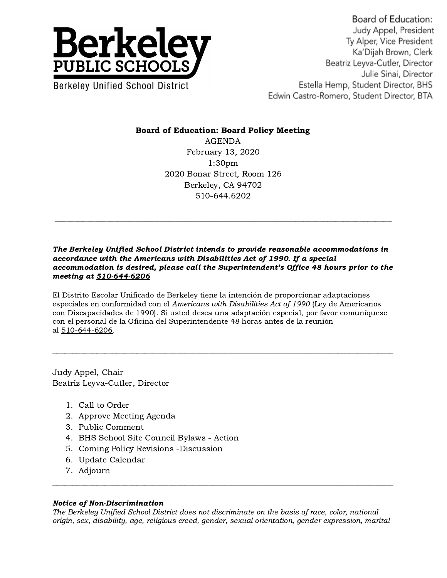

## Board of Education: Board Policy Meeting

AGENDA February 13, 2020 1:30pm 2020 Bonar Street, Room 126 Berkeley, CA 94702 510-644.6202

## The Berkeley Unified School District intends to provide reasonable accommodations in accordance with the Americans with Disabilities Act of 1990. If a special accommodation is desired, please call the Superintendent's Office 48 hours prior to the meeting at 510-644-6206

El Distrito Escolar Unificado de Berkeley tiene la intención de proporcionar adaptaciones especiales en conformidad con el Americans with Disabilities Act of 1990 (Ley de Americanos con Discapacidades de 1990). Si usted desea una adaptación especial, por favor comuníquese con el personal de la Oficina del Superintendente 48 horas antes de la reunión al 510-644-6206.

Judy Appel, Chair Beatriz Leyva-Cutler, Director

- 1. Call to Order
- 2. Approve Meeting Agenda
- 3. Public Comment
- 4. BHS School Site Council Bylaws Action
- 5. Coming Policy Revisions -Discussion
- 6. Update Calendar
- 7. Adjourn

## Notice of Non-Discrimination

The Berkeley Unified School District does not discriminate on the basis of race, color, national origin, sex, disability, age, religious creed, gender, sexual orientation, gender expression, marital